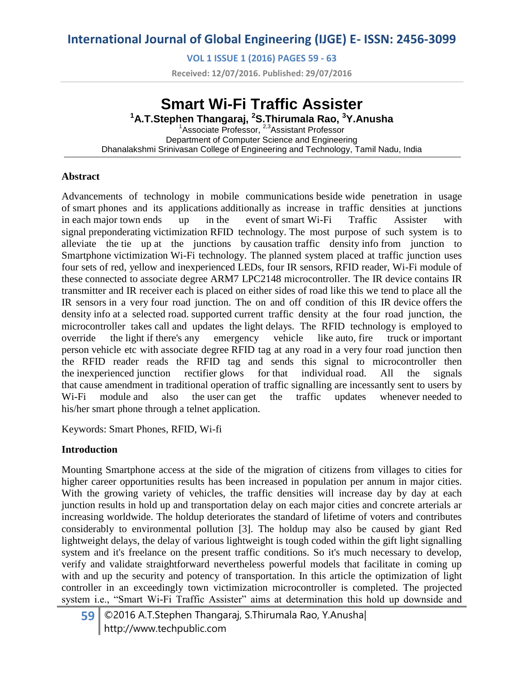**VOL 1 ISSUE 1 (2016) PAGES 59 - 63**

**Received: 12/07/2016. Published: 29/07/2016**

# **Smart Wi-Fi Traffic Assister**

**<sup>1</sup>A.T.Stephen Thangaraj, <sup>2</sup>S.Thirumala Rao, <sup>3</sup>Y.Anusha** <sup>1</sup>Associate Professor, <sup>2,3</sup>Assistant Professor Department of Computer Science and Engineering Dhanalakshmi Srinivasan College of Engineering and Technology, Tamil Nadu, India

#### **Abstract**

Advancements of technology in mobile communications beside wide penetration in usage of smart phones and its applications additionally as increase in traffic densities at junctions in each major town ends up in the event of smart Wi-Fi Traffic Assister with signal preponderating victimization RFID technology. The most purpose of such system is to alleviate the tie up at the junctions by causation traffic density info from junction to Smartphone victimization Wi-Fi technology. The planned system placed at traffic junction uses four sets of red, yellow and inexperienced LEDs, four IR sensors, RFID reader, Wi-Fi module of these connected to associate degree ARM7 LPC2148 microcontroller. The IR device contains IR transmitter and IR receiver each is placed on either sides of road like this we tend to place all the IR sensors in a very four road junction. The on and off condition of this IR device offers the density info at a selected road. supported current traffic density at the four road junction, the microcontroller takes call and updates the light delays. The RFID technology is employed to override the light if there's any emergency vehicle like auto, fire truck or important person vehicle etc with associate degree RFID tag at any road in a very four road junction then the RFID reader reads the RFID tag and sends this signal to microcontroller then the inexperienced junction rectifier glows for that individual road. All the signals that cause amendment in traditional operation of traffic signalling are incessantly sent to users by W<sub>i-Fi</sub> module and also the user can get the traffic updates whenever needed to his/her smart phone through a telnet application.

Keywords: Smart Phones, RFID, Wi-fi

#### **Introduction**

Mounting Smartphone access at the side of the migration of citizens from villages to cities for higher career opportunities results has been increased in population per annum in major cities. With the growing variety of vehicles, the traffic densities will increase day by day at each junction results in hold up and transportation delay on each major cities and concrete arterials ar increasing worldwide. The holdup deteriorates the standard of lifetime of voters and contributes considerably to environmental pollution [3]. The holdup may also be caused by giant Red lightweight delays, the delay of various lightweight is tough coded within the gift light signalling system and it's freelance on the present traffic conditions. So it's much necessary to develop, verify and validate straightforward nevertheless powerful models that facilitate in coming up with and up the security and potency of transportation. In this article the optimization of light controller in an exceedingly town victimization microcontroller is completed. The projected system i.e., "Smart Wi-Fi Traffic Assister" aims at determination this hold up downside and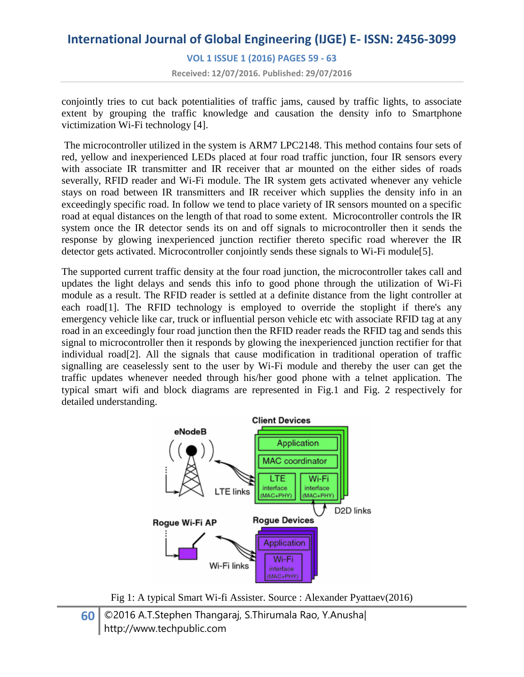**VOL 1 ISSUE 1 (2016) PAGES 59 - 63**

**Received: 12/07/2016. Published: 29/07/2016**

conjointly tries to cut back potentialities of traffic jams, caused by traffic lights, to associate extent by grouping the traffic knowledge and causation the density info to Smartphone victimization Wi-Fi technology [4].

The microcontroller utilized in the system is ARM7 LPC2148. This method contains four sets of red, yellow and inexperienced LEDs placed at four road traffic junction, four IR sensors every with associate IR transmitter and IR receiver that ar mounted on the either sides of roads severally, RFID reader and Wi-Fi module. The IR system gets activated whenever any vehicle stays on road between IR transmitters and IR receiver which supplies the density info in an exceedingly specific road. In follow we tend to place variety of IR sensors mounted on a specific road at equal distances on the length of that road to some extent. Microcontroller controls the IR system once the IR detector sends its on and off signals to microcontroller then it sends the response by glowing inexperienced junction rectifier thereto specific road wherever the IR detector gets activated. Microcontroller conjointly sends these signals to Wi-Fi module[5].

The supported current traffic density at the four road junction, the microcontroller takes call and updates the light delays and sends this info to good phone through the utilization of Wi-Fi module as a result. The RFID reader is settled at a definite distance from the light controller at each road<sup>[1]</sup>. The RFID technology is employed to override the stoplight if there's any emergency vehicle like car, truck or influential person vehicle etc with associate RFID tag at any road in an exceedingly four road junction then the RFID reader reads the RFID tag and sends this signal to microcontroller then it responds by glowing the inexperienced junction rectifier for that individual road[2]. All the signals that cause modification in traditional operation of traffic signalling are ceaselessly sent to the user by Wi-Fi module and thereby the user can get the traffic updates whenever needed through his/her good phone with a telnet application. The typical smart wifi and block diagrams are represented in Fig.1 and Fig. 2 respectively for detailed understanding.



Fig 1: A typical Smart Wi-fi Assister. Source : Alexander Pyattaev(2016)

### **60** ©2016 A.T.Stephen Thangaraj, S.Thirumala Rao, Y.Anusha| http://www.techpublic.com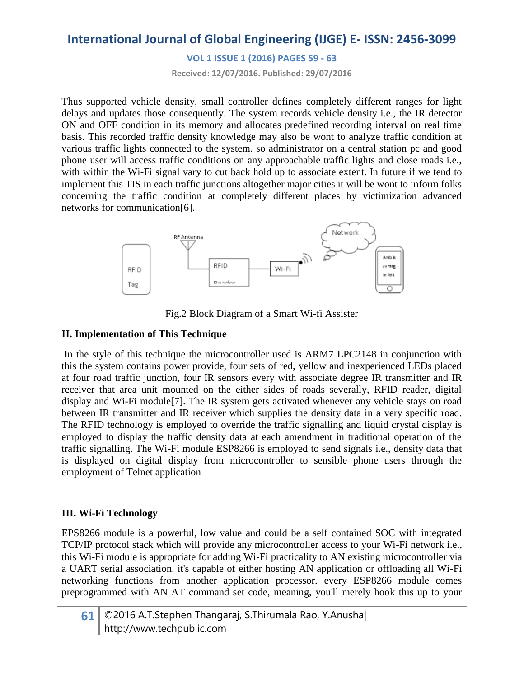**VOL 1 ISSUE 1 (2016) PAGES 59 - 63**

**Received: 12/07/2016. Published: 29/07/2016**

Thus supported vehicle density, small controller defines completely different ranges for light delays and updates those consequently. The system records vehicle density i.e., the IR detector ON and OFF condition in its memory and allocates predefined recording interval on real time basis. This recorded traffic density knowledge may also be wont to analyze traffic condition at various traffic lights connected to the system. so administrator on a central station pc and good phone user will access traffic conditions on any approachable traffic lights and close roads i.e., with within the Wi-Fi signal vary to cut back hold up to associate extent. In future if we tend to implement this TIS in each traffic junctions altogether major cities it will be wont to inform folks concerning the traffic condition at completely different places by victimization advanced networks for communication[6].



Fig.2 Block Diagram of a Smart Wi-fi Assister

### **II. Implementation of This Technique**

In the style of this technique the microcontroller used is ARM7 LPC2148 in conjunction with this the system contains power provide, four sets of red, yellow and inexperienced LEDs placed at four road traffic junction, four IR sensors every with associate degree IR transmitter and IR receiver that area unit mounted on the either sides of roads severally, RFID reader, digital display and Wi-Fi module[7]. The IR system gets activated whenever any vehicle stays on road between IR transmitter and IR receiver which supplies the density data in a very specific road. The RFID technology is employed to override the traffic signalling and liquid crystal display is employed to display the traffic density data at each amendment in traditional operation of the traffic signalling. The Wi-Fi module ESP8266 is employed to send signals i.e., density data that is displayed on digital display from microcontroller to sensible phone users through the employment of Telnet application

### **III. Wi-Fi Technology**

EPS8266 module is a powerful, low value and could be a self contained SOC with integrated TCP/IP protocol stack which will provide any microcontroller access to your Wi-Fi network i.e., this Wi-Fi module is appropriate for adding Wi-Fi practicality to AN existing microcontroller via a UART serial association. it's capable of either hosting AN application or offloading all Wi-Fi networking functions from another application processor. every ESP8266 module comes preprogrammed with AN AT command set code, meaning, you'll merely hook this up to your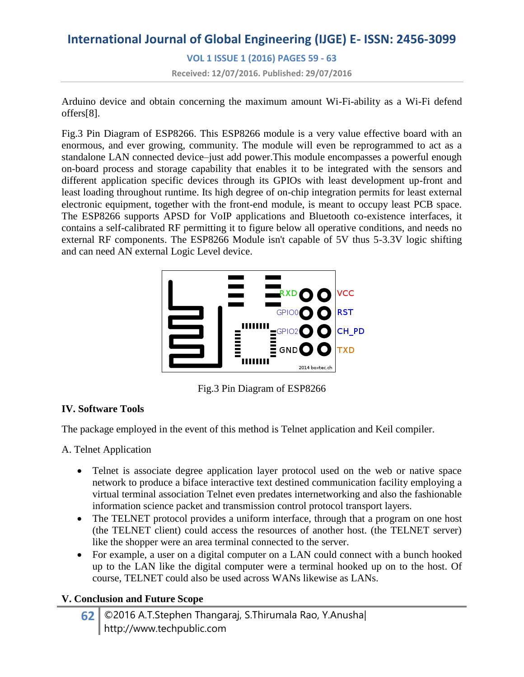# **International Journal of Global Engineering (IJGE) E- ISSN: 2456-3099 VOL 1 ISSUE 1 (2016) PAGES 59 - 63 Received: 12/07/2016. Published: 29/07/2016**

Arduino device and obtain concerning the maximum amount Wi-Fi-ability as a Wi-Fi defend offers[8].

Fig.3 Pin Diagram of ESP8266. This ESP8266 module is a very value effective board with an enormous, and ever growing, community. The module will even be reprogrammed to act as a standalone LAN connected device–just add power.This module encompasses a powerful enough on-board process and storage capability that enables it to be integrated with the sensors and different application specific devices through its GPIOs with least development up-front and least loading throughout runtime. Its high degree of on-chip integration permits for least external electronic equipment, together with the front-end module, is meant to occupy least PCB space. The ESP8266 supports APSD for VoIP applications and Bluetooth co-existence interfaces, it contains a self-calibrated RF permitting it to figure below all operative conditions, and needs no external RF components. The ESP8266 Module isn't capable of 5V thus 5-3.3V logic shifting and can need AN external Logic Level device.



Fig.3 Pin Diagram of ESP8266

### **IV. Software Tools**

The package employed in the event of this method is Telnet application and Keil compiler.

A. Telnet Application

- Telnet is associate degree application layer protocol used on the web or native space network to produce a biface interactive text destined communication facility employing a virtual terminal association Telnet even predates internetworking and also the fashionable information science packet and transmission control protocol transport layers.
- The TELNET protocol provides a uniform interface, through that a program on one host (the TELNET client) could access the resources of another host. (the TELNET server) like the shopper were an area terminal connected to the server.
- For example, a user on a digital computer on a LAN could connect with a bunch hooked up to the LAN like the digital computer were a terminal hooked up on to the host. Of course, TELNET could also be used across WANs likewise as LANs.

### **V. Conclusion and Future Scope**

**62** ©2016 A.T.Stephen Thangaraj, S.Thirumala Rao, Y.Anusha| http://www.techpublic.com